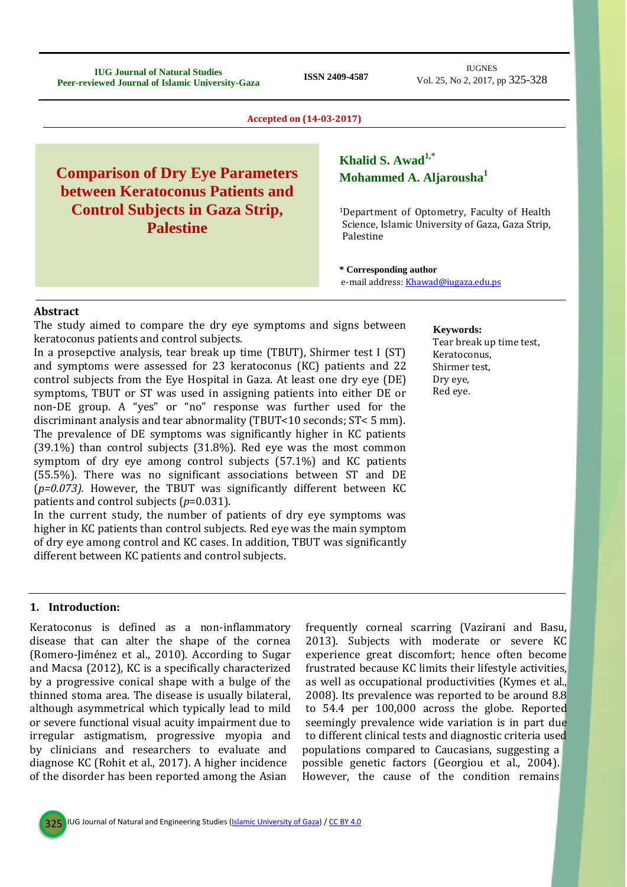**IUG Journal of Natural Studies Peer-reviewed Journal of Natural Studies**<br>**Peer-reviewed Journal of Islamic University-Gaza ISSN 2409-4587** 

IUGNES Vol. 25, No 2, 2017, pp 325-328

**Accepted on (14-03-2017)**

# **Comparison of Dry Eye Parameters between Keratoconus Patients and Control Subjects in Gaza Strip, Palestine**

# **Khalid S. Awad1,\* Mohammed A. Aljarousha<sup>1</sup>**

<sup>1</sup>Department of Optometry, Faculty of Health Science, Islamic University of Gaza, Gaza Strip, Palestine

**\* Corresponding author** e-mail address[: Khawad@iugaza.edu.ps](mailto:Khawad@iugaza.edu.ps)

#### **Abstract**

The study aimed to compare the dry eye symptoms and signs between keratoconus patients and control subjects.

In a prosepctive analysis, tear break up time (TBUT), Shirmer test I (ST) and symptoms were assessed for 23 keratoconus (KC) patients and 22 control subjects from the Eye Hospital in Gaza. At least one dry eye (DE) symptoms, TBUT or ST was used in assigning patients into either DE or non-DE group. A "yes" or "no" response was further used for the discriminant analysis and tear abnormality (TBUT<10 seconds; ST< 5 mm). The prevalence of DE symptoms was significantly higher in KC patients (39.1%) than control subjects (31.8%). Red eye was the most common symptom of dry eye among control subjects (57.1%) and KC patients (55.5%). There was no significant associations between ST and DE (*p=0.073).* However, the TBUT was significantly different between KC patients and control subjects (*p*=0.031).

In the current study, the number of patients of dry eye symptoms was higher in KC patients than control subjects. Red eye was the main symptom of dry eye among control and KC cases. In addition, TBUT was significantly different between KC patients and control subjects.

#### **Keywords:**

Tear break up time test, Keratoconus, Shirmer test, Dry eye, Red eye.

### **1. Introduction:**

Keratoconus is defined as a non-inflammatory disease that can alter the shape of the cornea (Romero-Jiménez et al., 2010). According to Sugar and Macsa (2012), KC is a specifically characterized by a progressive conical shape with a bulge of the thinned stoma area. The disease is usually bilateral, although asymmetrical which typically lead to mild or severe functional visual acuity impairment due to irregular astigmatism, progressive myopia and by clinicians and researchers to evaluate and diagnose KC (Rohit et al., 2017). A higher incidence of the disorder has been reported among the Asian

frequently corneal scarring (Vazirani and Basu, 2013). Subjects with moderate or severe KC experience great discomfort; hence often become frustrated because KC limits their lifestyle activities, as well as occupational productivities (Kymes et al., 2008). Its prevalence was reported to be around 8.8 to 54.4 per 100,000 across the globe. Reported seemingly prevalence wide variation is in part due to different clinical tests and diagnostic criteria used populations compared to Caucasians, suggesting a possible genetic factors (Georgiou et al., 2004). However, the cause of the condition remains

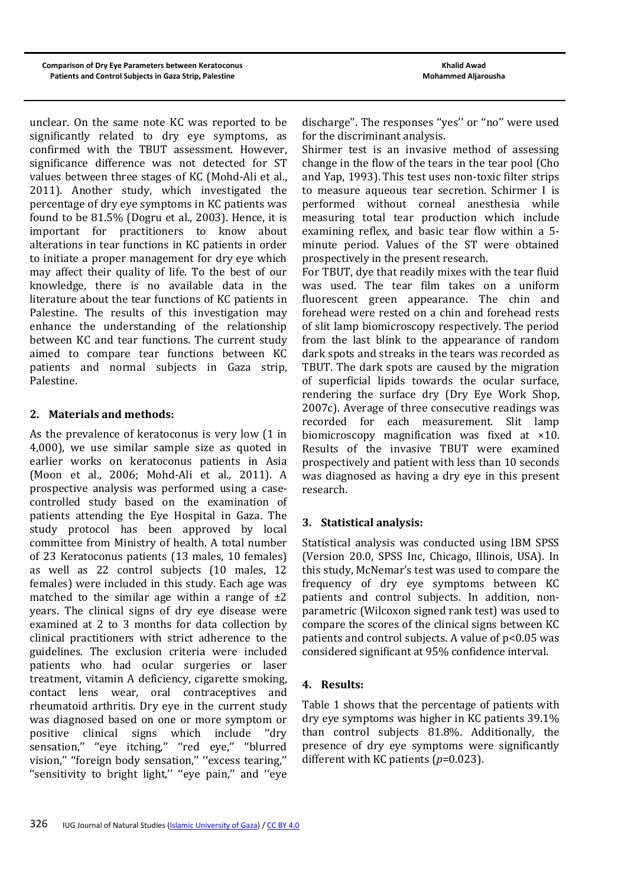unclear. On the same note KC was reported to be significantly related to dry eye symptoms, as confirmed with the TBUT assessment. However, significance difference was not detected for ST values between three stages of KC (Mohd-Ali et al., 2011). Another study, which investigated the percentage of dry eye symptoms in KC patients was found to be 81.5% (Dogru et al., 2003). Hence, it is important for practitioners to know about alterations in tear functions in KC patients in order to initiate a proper management for dry eye which may affect their quality of life. To the best of our knowledge, there is no available data in the literature about the tear functions of KC patients in Palestine. The results of this investigation may enhance the understanding of the relationship between KC and tear functions. The current study aimed to compare tear functions between KC patients and normal subjects in Gaza strip, Palestine.

## **2. Materials and methods:**

As the prevalence of keratoconus is very low (1 in 4,000), we use similar sample size as quoted in earlier works on keratoconus patients in Asia (Moon et al., 2006; Mohd-Ali et al., 2011). A prospective analysis was performed using a casecontrolled study based on the examination of patients attending the Eye Hospital in Gaza. The study protocol has been approved by local committee from Ministry of health. A total number of 23 Keratoconus patients (13 males, 10 females) as well as 22 control subjects (10 males, 12 females) were included in this study. Each age was matched to the similar age within a range of  $\pm 2$ years. The clinical signs of dry eye disease were examined at 2 to 3 months for data collection by clinical practitioners with strict adherence to the guidelines. The exclusion criteria were included patients who had ocular surgeries or laser treatment, vitamin A deficiency, cigarette smoking, contact lens wear, oral contraceptives and rheumatoid arthritis. Dry eye in the current study was diagnosed based on one or more symptom or positive clinical signs which include ''dry sensation," "eye itching," "red eye," "blurred vision," "foreign body sensation," "excess tearing," "sensitivity to bright light," "eye pain," and "eye

discharge''. The responses ''yes'' or ''no'' were used for the discriminant analysis.

Shirmer test is an invasive method of assessing change in the flow of the tears in the tear pool (Cho and Yap, 1993). This test uses non-toxic filter strips to measure aqueous tear secretion. Schirmer I is performed without corneal anesthesia while measuring total tear production which include examining reflex, and basic tear flow within a 5 minute period. Values of the ST were obtained prospectively in the present research.

For TBUT, dye that readily mixes with the tear fluid was used. The tear film takes on a uniform fluorescent green appearance. The chin and forehead were rested on a chin and forehead rests of slit lamp biomicroscopy respectively. The period from the last blink to the appearance of random dark spots and streaks in the tears was recorded as TBUT. The dark spots are caused by the migration of superficial lipids towards the ocular surface, rendering the surface dry (Dry Eye Work Shop, 2007c). Average of three consecutive readings was recorded for each measurement. Slit lamp biomicroscopy magnification was fixed at ×10. Results of the invasive TBUT were examined prospectively and patient with less than 10 seconds was diagnosed as having a dry eye in this present research.

# **3. Statistical analysis:**

Statistical analysis was conducted using IBM SPSS (Version 20.0, SPSS Inc, Chicago, Illinois, USA). In this study, McNemar's test was used to compare the frequency of dry eye symptoms between KC patients and control subjects. In addition, nonparametric (Wilcoxon signed rank test) was used to compare the scores of the clinical signs between KC patients and control subjects. A value of  $p<0.05$  was considered significant at 95% confidence interval.

### **4. Results:**

Table 1 shows that the percentage of patients with dry eye symptoms was higher in KC patients 39.1% than control subjects 81.8%. Additionally, the presence of dry eye symptoms were significantly different with KC patients (*p*=0.023).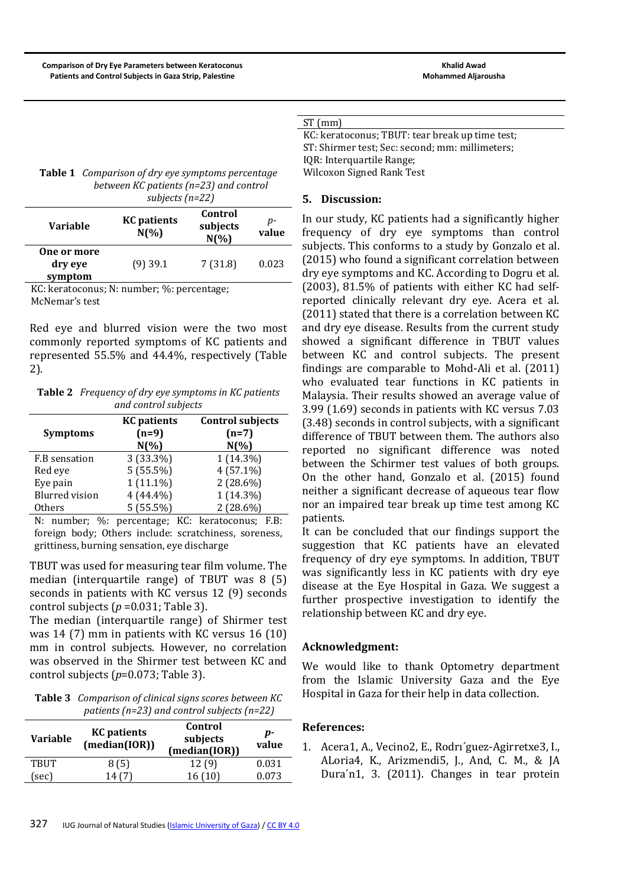|--|--|--|

KC: keratoconus; TBUT: tear break up time test; ST: Shirmer test; Sec: second; mm: millimeters; IQR: Interquartile Range; Wilcoxon Signed Rank Test

**Table 1** *Comparison of dry eye symptoms percentage between KC patients (n=23) and control subjects (n=22)*

|                                          | - - - - - - - - -              |                                 |             |
|------------------------------------------|--------------------------------|---------------------------------|-------------|
| Variable                                 | <b>KC</b> patients<br>$N(\% )$ | Control<br>subjects<br>$N(\% )$ | p-<br>value |
| <b>One or more</b><br>dry eye<br>symptom | $(9)$ 39.1                     | 7(31.8)                         | 0.023       |

KC: keratoconus; N: number; %: percentage; McNemar's test

Red eye and blurred vision were the two most commonly reported symptoms of KC patients and represented 55.5% and 44.4%, respectively (Table 2).

**Table 2** *Frequency of dry eye symptoms in KC patients and control subjects*

| <b>KC</b> patients | <b>Control subjects</b> |  |  |  |
|--------------------|-------------------------|--|--|--|
| $(n=9)$            | $(n=7)$                 |  |  |  |
| $N(\%)$            | $N(\%)$                 |  |  |  |
| $3(33.3\%)$        | $1(14.3\%)$             |  |  |  |
| 5(55.5%)           | $4(57.1\%)$             |  |  |  |
| $1(11.1\%)$        | $2(28.6\%)$             |  |  |  |
| $4(44.4\%)$        | $1(14.3\%)$             |  |  |  |
| 5(55.5%)           | $2(28.6\%)$             |  |  |  |
|                    |                         |  |  |  |

N: number; %: percentage; KC: keratoconus; F.B: foreign body; Others include: scratchiness, soreness, grittiness, burning sensation, eye discharge

TBUT was used for measuring tear film volume. The median (interquartile range) of TBUT was 8 (5) seconds in patients with KC versus 12 (9) seconds control subjects ( $p = 0.031$ ; Table 3).

The median (interquartile range) of Shirmer test was 14 (7) mm in patients with KC versus 16 (10) mm in control subjects. However, no correlation was observed in the Shirmer test between KC and control subjects (*p*=0.073; Table 3).

**Table 3** *Comparison of clinical signs scores between KC patients (n=23) and control subjects (n=22)*

| <b>Variable</b> | <b>KC</b> patients<br>(median(IOR)) | Control<br>subjects<br>(median(IOR)) | p-<br>value |
|-----------------|-------------------------------------|--------------------------------------|-------------|
| <b>TBUT</b>     | 8(5)                                | 12(9)                                | 0.031       |
| (sec)           |                                     | 16(10)                               | 0.073       |

### **5. Discussion:**

In our study, KC patients had a significantly higher frequency of dry eye symptoms than control subjects. This conforms to a study by Gonzalo et al. (2015) who found a significant correlation between dry eye symptoms and KC. According to Dogru et al. (2003), 81.5% of patients with either KC had selfreported clinically relevant dry eye. Acera et al. (2011) stated that there is a correlation between KC and dry eye disease. Results from the current study showed a significant difference in TBUT values between KC and control subjects. The present findings are comparable to Mohd-Ali et al. (2011) who evaluated tear functions in KC patients in Malaysia. Their results showed an average value of 3.99 (1.69) seconds in patients with KC versus 7.03 (3.48) seconds in control subjects, with a significant difference of TBUT between them. The authors also reported no significant difference was noted between the Schirmer test values of both groups. On the other hand, Gonzalo et al. (2015) found neither a significant decrease of aqueous tear flow nor an impaired tear break up time test among KC patients.

It can be concluded that our findings support the suggestion that KC patients have an elevated frequency of dry eye symptoms. In addition, TBUT was significantly less in KC patients with dry eye disease at the Eye Hospital in Gaza. We suggest a further prospective investigation to identify the relationship between KC and dry eye.

# **Acknowledgment:**

We would like to thank Optometry department from the Islamic University Gaza and the Eye Hospital in Gaza for their help in data collection.

#### **References:**

1. Acera1, A., Vecino2, E., Rodrı´guez-Agirretxe3, I., ALoria4, K., Arizmendi5, J., And, C. M., & JA Dura´n1, 3. (2011). Changes in tear protein